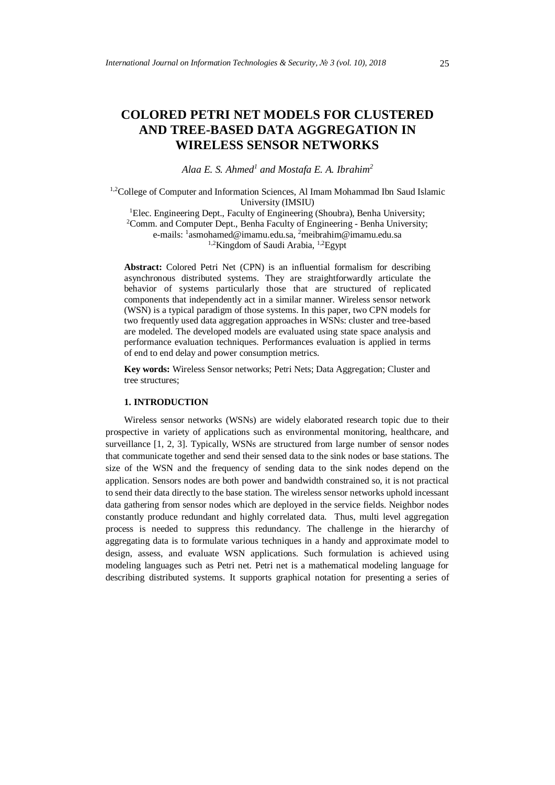# **COLORED PETRI NET MODELS FOR CLUSTERED AND TREE-BASED DATA AGGREGATION IN WIRELESS SENSOR NETWORKS**

*Alaa E. S. Ahmed<sup>1</sup> and Mostafa E. A. Ibrahim<sup>2</sup>*

1,2College of Computer and Information Sciences, Al Imam Mohammad Ibn Saud Islamic University (IMSIU)

<sup>1</sup>Elec. Engineering Dept., Faculty of Engineering (Shoubra), Benha University; <sup>2</sup>Comm. and Computer Dept., Benha Faculty of Engineering - Benha University; e-mails: <sup>1</sup>[asmohamed@imamu.edu.sa,](mailto:asmohamed@imamu.edu.sa) <sup>2</sup>meibrahim@imamu.edu.sa <sup>1,2</sup>Kingdom of Saudi Arabia, <sup>1,2</sup>Egypt

**Abstract:** Colored Petri Net (CPN) is an influential formalism for describing asynchronous distributed systems. They are straightforwardly articulate the behavior of systems particularly those that are structured of replicated components that independently act in a similar manner. Wireless sensor network (WSN) is a typical paradigm of those systems. In this paper, two CPN models for two frequently used data aggregation approaches in WSNs: cluster and tree-based are modeled. The developed models are evaluated using state space analysis and performance evaluation techniques. Performances evaluation is applied in terms of end to end delay and power consumption metrics.

**Key words:** Wireless Sensor networks; Petri Nets; Data Aggregation; Cluster and tree structures;

#### **1. INTRODUCTION**

Wireless sensor networks (WSNs) are widely elaborated research topic due to their prospective in variety of applications such as environmental monitoring, healthcare, and surveillance [1, 2, 3]. Typically, WSNs are structured from large number of sensor nodes that communicate together and send their sensed data to the sink nodes or base stations. The size of the WSN and the frequency of sending data to the sink nodes depend on the application. Sensors nodes are both power and bandwidth constrained so, it is not practical to send their data directly to the base station. The wireless sensor networks uphold incessant data gathering from sensor nodes which are deployed in the service fields. Neighbor nodes constantly produce redundant and highly correlated data. Thus, multi level aggregation process is needed to suppress this redundancy. The challenge in the hierarchy of aggregating data is to formulate various techniques in a handy and approximate model to design, assess, and evaluate WSN applications. Such formulation is achieved using modeling languages such as Petri net. Petri net is a mathematical modeling language for describing distributed systems. It supports graphical notation for presenting a series of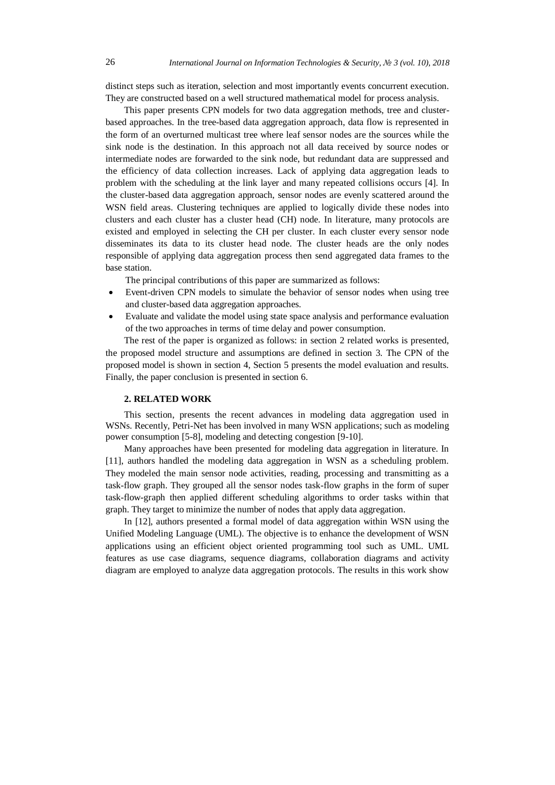distinct steps such as iteration, selection and most importantly events concurrent execution. They are constructed based on a well structured mathematical model for process analysis.

This paper presents CPN models for two data aggregation methods, tree and clusterbased approaches. In the tree-based data aggregation approach, data flow is represented in the form of an overturned multicast tree where leaf sensor nodes are the sources while the sink node is the destination. In this approach not all data received by source nodes or intermediate nodes are forwarded to the sink node, but redundant data are suppressed and the efficiency of data collection increases. Lack of applying data aggregation leads to problem with the scheduling at the link layer and many repeated collisions occurs [4]. In the cluster-based data aggregation approach, sensor nodes are evenly scattered around the WSN field areas. Clustering techniques are applied to logically divide these nodes into clusters and each cluster has a cluster head (CH) node. In literature, many protocols are existed and employed in selecting the CH per cluster. In each cluster every sensor node disseminates its data to its cluster head node. The cluster heads are the only nodes responsible of applying data aggregation process then send aggregated data frames to the base station.

The principal contributions of this paper are summarized as follows:

- Event-driven CPN models to simulate the behavior of sensor nodes when using tree and cluster-based data aggregation approaches.
- Evaluate and validate the model using state space analysis and performance evaluation of the two approaches in terms of time delay and power consumption.

The rest of the paper is organized as follows: in section 2 related works is presented, the proposed model structure and assumptions are defined in section 3. The CPN of the proposed model is shown in section 4, Section 5 presents the model evaluation and results. Finally, the paper conclusion is presented in section 6.

## **2. RELATED WORK**

This section, presents the recent advances in modeling data aggregation used in WSNs. Recently, Petri-Net has been involved in many WSN applications; such as modeling power consumption [5-8], modeling and detecting congestion [9-10].

Many approaches have been presented for modeling data aggregation in literature. In [11], authors handled the modeling data aggregation in WSN as a scheduling problem. They modeled the main sensor node activities, reading, processing and transmitting as a task-flow graph. They grouped all the sensor nodes task-flow graphs in the form of super task-flow-graph then applied different scheduling algorithms to order tasks within that graph. They target to minimize the number of nodes that apply data aggregation.

In [12], authors presented a formal model of data aggregation within WSN using the Unified Modeling Language (UML). The objective is to enhance the development of WSN applications using an efficient object oriented programming tool such as UML. UML features as use case diagrams, sequence diagrams, collaboration diagrams and activity diagram are employed to analyze data aggregation protocols. The results in this work show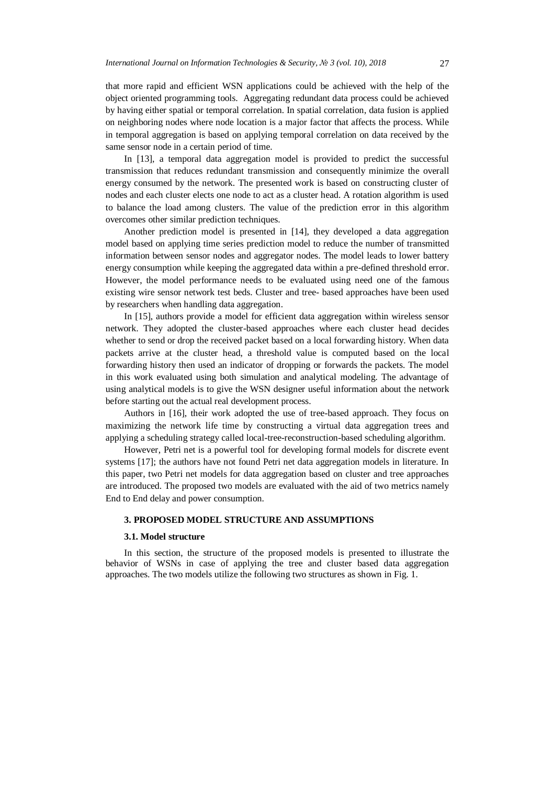that more rapid and efficient WSN applications could be achieved with the help of the object oriented programming tools. Aggregating redundant data process could be achieved by having either spatial or temporal correlation. In spatial correlation, data fusion is applied on neighboring nodes where node location is a major factor that affects the process. While in temporal aggregation is based on applying temporal correlation on data received by the same sensor node in a certain period of time.

In [13], a temporal data aggregation model is provided to predict the successful transmission that reduces redundant transmission and consequently minimize the overall energy consumed by the network. The presented work is based on constructing cluster of nodes and each cluster elects one node to act as a cluster head. A rotation algorithm is used to balance the load among clusters. The value of the prediction error in this algorithm overcomes other similar prediction techniques.

Another prediction model is presented in [14], they developed a data aggregation model based on applying time series prediction model to reduce the number of transmitted information between sensor nodes and aggregator nodes. The model leads to lower battery energy consumption while keeping the aggregated data within a pre-defined threshold error. However, the model performance needs to be evaluated using need one of the famous existing wire sensor network test beds. Cluster and tree- based approaches have been used by researchers when handling data aggregation.

In [15], authors provide a model for efficient data aggregation within wireless sensor network. They adopted the cluster-based approaches where each cluster head decides whether to send or drop the received packet based on a local forwarding history. When data packets arrive at the cluster head, a threshold value is computed based on the local forwarding history then used an indicator of dropping or forwards the packets. The model in this work evaluated using both simulation and analytical modeling. The advantage of using analytical models is to give the WSN designer useful information about the network before starting out the actual real development process.

Authors in [16], their work adopted the use of tree-based approach. They focus on maximizing the network life time by constructing a virtual data aggregation trees and applying a scheduling strategy called local-tree-reconstruction-based scheduling algorithm.

However, Petri net is a powerful tool for developing formal models for discrete event systems [17]; the authors have not found Petri net data aggregation models in literature. In this paper, two Petri net models for data aggregation based on cluster and tree approaches are introduced. The proposed two models are evaluated with the aid of two metrics namely End to End delay and power consumption.

#### **3. PROPOSED MODEL STRUCTURE AND ASSUMPTIONS**

#### **3.1. Model structure**

In this section, the structure of the proposed models is presented to illustrate the behavior of WSNs in case of applying the tree and cluster based data aggregation approaches. The two models utilize the following two structures as shown in Fig. 1.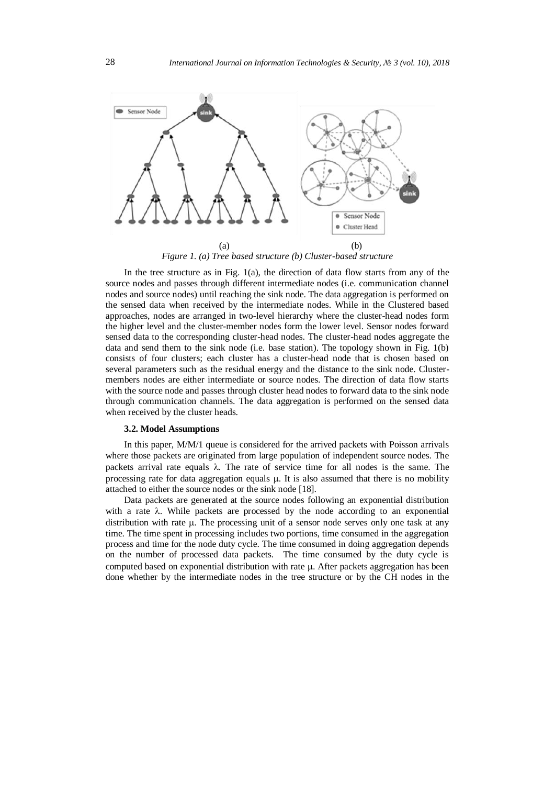

*Figure 1. (a) Tree based structure (b) Cluster-based structure*

In the tree structure as in Fig. 1(a), the direction of data flow starts from any of the source nodes and passes through different intermediate nodes (i.e. communication channel nodes and source nodes) until reaching the sink node. The data aggregation is performed on the sensed data when received by the intermediate nodes. While in the Clustered based approaches, nodes are arranged in two-level hierarchy where the cluster-head nodes form the higher level and the cluster-member nodes form the lower level. Sensor nodes forward sensed data to the corresponding cluster-head nodes. The cluster-head nodes aggregate the data and send them to the sink node (i.e. base station). The topology shown in Fig. 1(b) consists of four clusters; each cluster has a cluster-head node that is chosen based on several parameters such as the residual energy and the distance to the sink node. Clustermembers nodes are either intermediate or source nodes. The direction of data flow starts with the source node and passes through cluster head nodes to forward data to the sink node through communication channels. The data aggregation is performed on the sensed data when received by the cluster heads.

#### **3.2. Model Assumptions**

In this paper, M/M/1 queue is considered for the arrived packets with Poisson arrivals where those packets are originated from large population of independent source nodes. The packets arrival rate equals  $\lambda$ . The rate of service time for all nodes is the same. The processing rate for data aggregation equals  $\mu$ . It is also assumed that there is no mobility attached to either the source nodes or the sink node [18].

Data packets are generated at the source nodes following an exponential distribution with a rate  $\lambda$ . While packets are processed by the node according to an exponential distribution with rate  $\mu$ . The processing unit of a sensor node serves only one task at any time. The time spent in processing includes two portions, time consumed in the aggregation process and time for the node duty cycle. The time consumed in doing aggregation depends on the number of processed data packets. The time consumed by the duty cycle is computed based on exponential distribution with rate  $\mu$ . After packets aggregation has been done whether by the intermediate nodes in the tree structure or by the CH nodes in the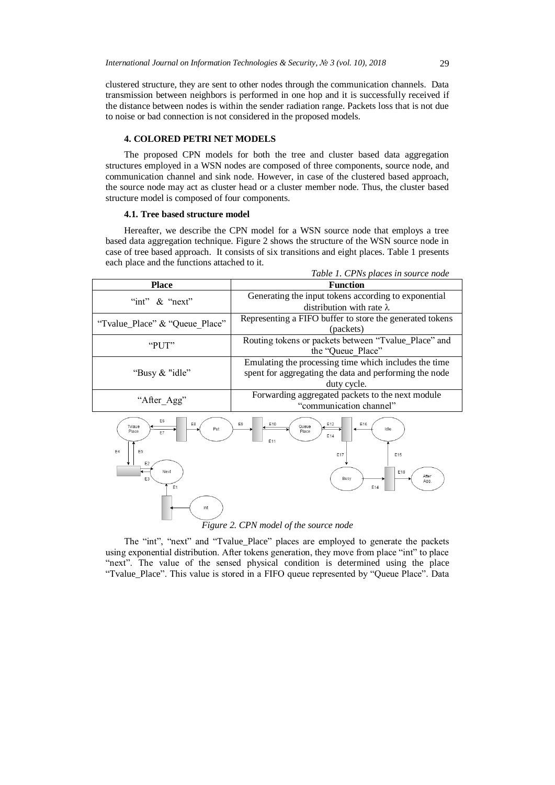clustered structure, they are sent to other nodes through the communication channels. Data transmission between neighbors is performed in one hop and it is successfully received if the distance between nodes is within the sender radiation range. Packets loss that is not due to noise or bad connection is not considered in the proposed models.

### **4. COLORED PETRI NET MODELS**

The proposed CPN models for both the tree and cluster based data aggregation structures employed in a WSN nodes are composed of three components, source node, and communication channel and sink node. However, in case of the clustered based approach, the source node may act as cluster head or a cluster member node. Thus, the cluster based structure model is composed of four components.

#### **4.1. Tree based structure model**

Hereafter, we describe the CPN model for a WSN source node that employs a tree based data aggregation technique. Figure 2 shows the structure of the WSN source node in case of tree based approach. It consists of six transitions and eight places. Table 1 presents each place and the functions attached to it. *Table 1. CPNs places in source node*

| Table 1. CPNs places in source node |                                                          |  |
|-------------------------------------|----------------------------------------------------------|--|
| <b>Place</b>                        | <b>Function</b>                                          |  |
| "int" $\&$ "next"                   | Generating the input tokens according to exponential     |  |
|                                     | distribution with rate $\lambda$                         |  |
| "Tvalue_Place" & "Queue Place"      | Representing a FIFO buffer to store the generated tokens |  |
|                                     | (packets)                                                |  |
| " $PIIT"$                           | Routing tokens or packets between "Tvalue_Place" and     |  |
|                                     | the "Queue Place"                                        |  |
| "Busy $&$ "idle"                    | Emulating the processing time which includes the time    |  |
|                                     | spent for aggregating the data and performing the node   |  |
|                                     | duty cycle.                                              |  |
| "After Agg"                         | Forwarding aggregated packets to the next module         |  |
|                                     | "communication channel"                                  |  |
|                                     |                                                          |  |



# *Figure 2. CPN model of the source node*

The "int", "next" and "Tvalue\_Place" places are employed to generate the packets using exponential distribution. After tokens generation, they move from place "int" to place "next". The value of the sensed physical condition is determined using the place "Tvalue\_Place". This value is stored in a FIFO queue represented by "Queue Place". Data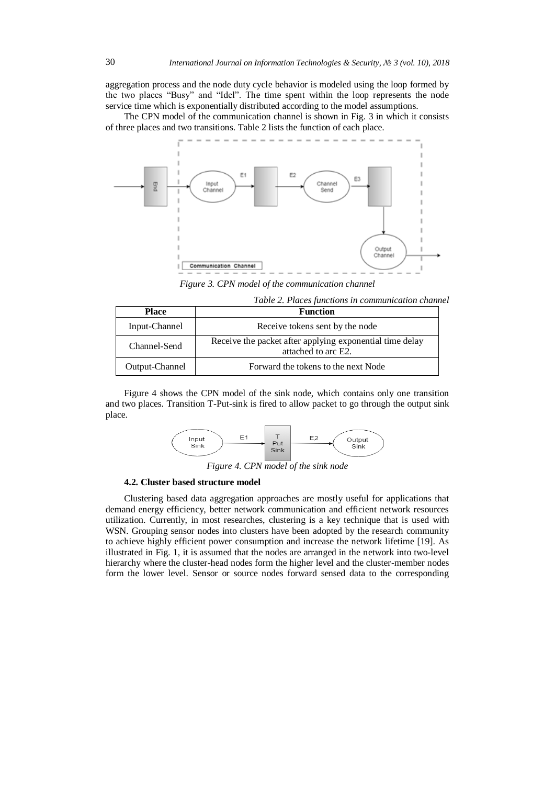aggregation process and the node duty cycle behavior is modeled using the loop formed by the two places "Busy" and "Idel". The time spent within the loop represents the node service time which is exponentially distributed according to the model assumptions.

The CPN model of the communication channel is shown in Fig. 3 in which it consists of three places and two transitions. Table 2 lists the function of each place.



*Figure 3. CPN model of the communication channel*

*Table 2. Places functions in communication channel* 

| Place          | <b>Function</b>                                                                 |
|----------------|---------------------------------------------------------------------------------|
| Input-Channel  | Receive tokens sent by the node                                                 |
| Channel-Send   | Receive the packet after applying exponential time delay<br>attached to arc E2. |
| Output-Channel | Forward the tokens to the next Node                                             |

Figure 4 shows the CPN model of the sink node, which contains only one transition and two places. Transition T-Put-sink is fired to allow packet to go through the output sink place.



*Figure 4. CPN model of the sink node*

#### **4.2. Cluster based structure model**

Clustering based data aggregation approaches are mostly useful for applications that demand energy efficiency, better network communication and efficient network resources utilization. Currently, in most researches, clustering is a key technique that is used with WSN. Grouping sensor nodes into clusters have been adopted by the research community to achieve highly efficient power consumption and increase the network lifetime [19]. As illustrated in Fig. 1, it is assumed that the nodes are arranged in the network into two-level hierarchy where the cluster-head nodes form the higher level and the cluster-member nodes form the lower level. Sensor or source nodes forward sensed data to the corresponding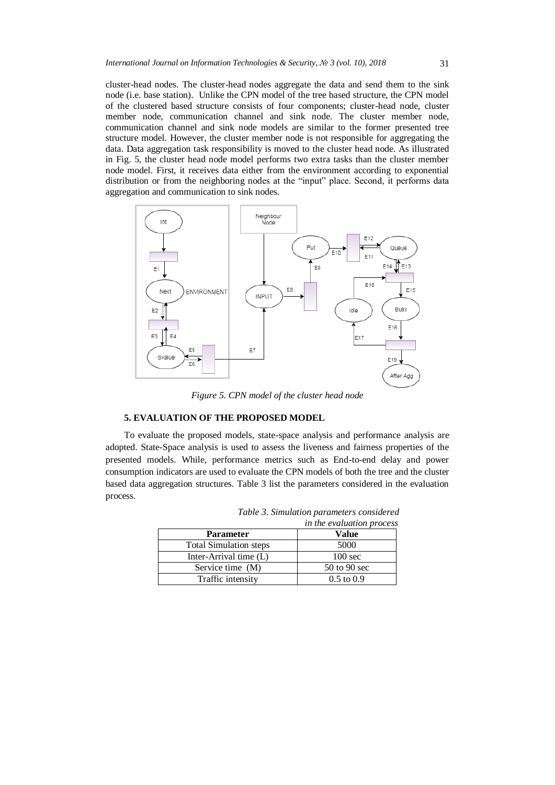cluster-head nodes. The cluster-head nodes aggregate the data and send them to the sink node (i.e. base station). Unlike the CPN model of the tree based structure, the CPN model of the clustered based structure consists of four components; cluster-head node, cluster member node, communication channel and sink node. The cluster member node, communication channel and sink node models are similar to the former presented tree structure model. However, the cluster member node is not responsible for aggregating the data. Data aggregation task responsibility is moved to the cluster head node. As illustrated in Fig. 5, the cluster head node model performs two extra tasks than the cluster member node model. First, it receives data either from the environment according to exponential distribution or from the neighboring nodes at the "input" place. Second, it performs data aggregation and communication to sink nodes.



*Figure 5. CPN model of the cluster head node*

## **5. EVALUATION OF THE PROPOSED MODEL**

To evaluate the proposed models, state-space analysis and performance analysis are adopted. State-Space analysis is used to assess the liveness and fairness properties of the presented models. While, performance metrics such as End-to-end delay and power consumption indicators are used to evaluate the CPN models of both the tree and the cluster based data aggregation structures. Table 3 list the parameters considered in the evaluation process.

|                               | <i>the the crutation process</i> |
|-------------------------------|----------------------------------|
| <b>Parameter</b>              | <b>Value</b>                     |
| <b>Total Simulation steps</b> | 5000                             |
| Inter-Arrival time $(L)$      | $100 \text{ sec}$                |
| Service time (M)              | 50 to 90 sec                     |
| Traffic intensity             | $0.5 \text{ to } 0.9$            |

*Table 3. Simulation parameters considered in the evaluation process*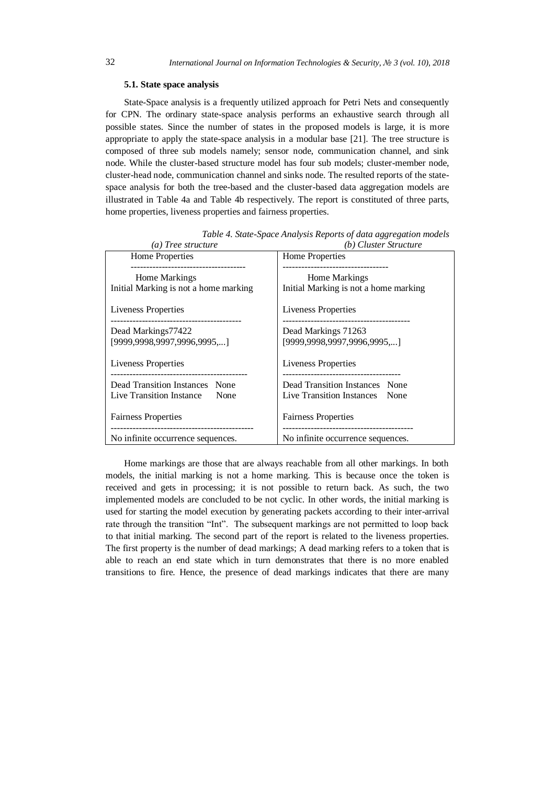#### **5.1. State space analysis**

State-Space analysis is a frequently utilized approach for Petri Nets and consequently for CPN. The ordinary state-space analysis performs an exhaustive search through all possible states. Since the number of states in the proposed models is large, it is more appropriate to apply the state-space analysis in a modular base [21]. The tree structure is composed of three sub models namely; sensor node, communication channel, and sink node. While the cluster-based structure model has four sub models; cluster-member node, cluster-head node, communication channel and sinks node. The resulted reports of the statespace analysis for both the tree-based and the cluster-based data aggregation models are illustrated in Table 4a and Table 4b respectively. The report is constituted of three parts, home properties, liveness properties and fairness properties.

| (a) Tree structure                                                                                    | (b) Cluster Structure                                                                                |
|-------------------------------------------------------------------------------------------------------|------------------------------------------------------------------------------------------------------|
| Home Properties                                                                                       | Home Properties                                                                                      |
| Home Markings<br>Initial Marking is not a home marking                                                | <b>Home Markings</b><br>Initial Marking is not a home marking                                        |
| Liveness Properties                                                                                   | Liveness Properties                                                                                  |
| Dead Markings77422<br>[9999,9998,9997,9996,9995,]                                                     | Dead Markings 71263<br>[9999.9998.9997.9996.9995]                                                    |
| Liveness Properties                                                                                   | <b>Liveness Properties</b>                                                                           |
| ----------------------------------<br>Dead Transition Instances None<br>Live Transition Instance None | --------------------------------<br>Dead Transition Instances None<br>Live Transition Instances None |
| <b>Fairness Properties</b>                                                                            | <b>Fairness Properties</b><br>--------------------------------                                       |
| No infinite occurrence sequences.                                                                     | No infinite occurrence sequences.                                                                    |

*Table 4. State-Space Analysis Reports of data aggregation models*

Home markings are those that are always reachable from all other markings. In both models, the initial marking is not a home marking. This is because once the token is received and gets in processing; it is not possible to return back. As such, the two implemented models are concluded to be not cyclic. In other words, the initial marking is used for starting the model execution by generating packets according to their inter-arrival rate through the transition "Int". The subsequent markings are not permitted to loop back to that initial marking. The second part of the report is related to the liveness properties. The first property is the number of dead markings; A dead marking refers to a token that is able to reach an end state which in turn demonstrates that there is no more enabled transitions to fire. Hence, the presence of dead markings indicates that there are many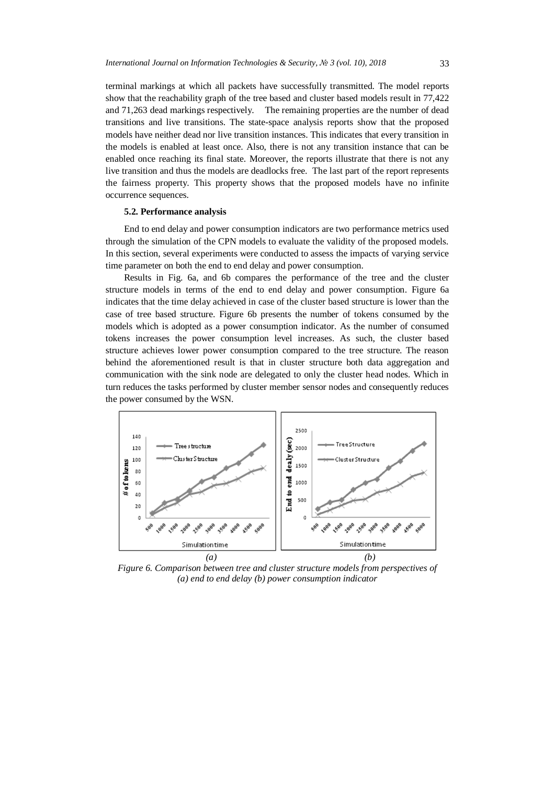terminal markings at which all packets have successfully transmitted. The model reports show that the reachability graph of the tree based and cluster based models result in 77,422 and 71,263 dead markings respectively. The remaining properties are the number of dead transitions and live transitions. The state-space analysis reports show that the proposed models have neither dead nor live transition instances. This indicates that every transition in the models is enabled at least once. Also, there is not any transition instance that can be enabled once reaching its final state. Moreover, the reports illustrate that there is not any live transition and thus the models are deadlocks free. The last part of the report represents the fairness property. This property shows that the proposed models have no infinite occurrence sequences.

#### **5.2. Performance analysis**

End to end delay and power consumption indicators are two performance metrics used through the simulation of the CPN models to evaluate the validity of the proposed models. In this section, several experiments were conducted to assess the impacts of varying service time parameter on both the end to end delay and power consumption.

Results in Fig. 6a, and 6b compares the performance of the tree and the cluster structure models in terms of the end to end delay and power consumption. Figure 6a indicates that the time delay achieved in case of the cluster based structure is lower than the case of tree based structure. Figure 6b presents the number of tokens consumed by the models which is adopted as a power consumption indicator. As the number of consumed tokens increases the power consumption level increases. As such, the cluster based structure achieves lower power consumption compared to the tree structure. The reason behind the aforementioned result is that in cluster structure both data aggregation and communication with the sink node are delegated to only the cluster head nodes. Which in turn reduces the tasks performed by cluster member sensor nodes and consequently reduces the power consumed by the WSN.



*Figure 6. Comparison between tree and cluster structure models from perspectives of (a) end to end delay (b) power consumption indicator*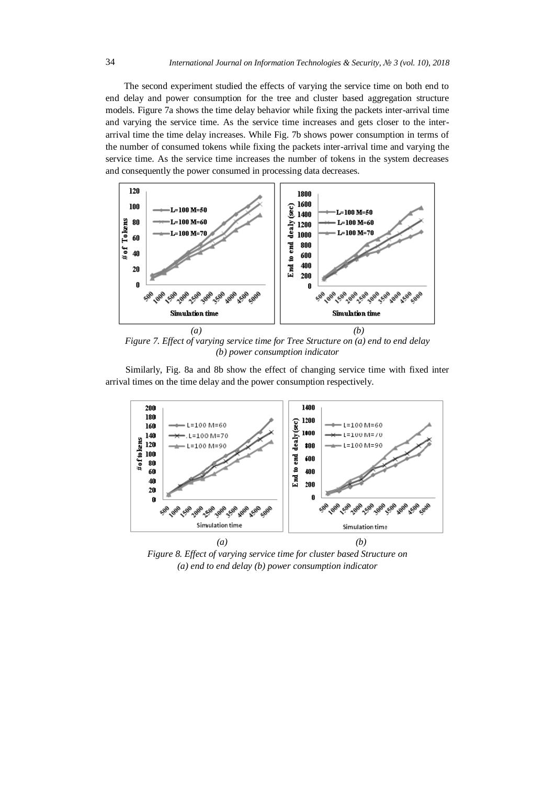The second experiment studied the effects of varying the service time on both end to end delay and power consumption for the tree and cluster based aggregation structure models. Figure 7a shows the time delay behavior while fixing the packets inter-arrival time and varying the service time. As the service time increases and gets closer to the interarrival time the time delay increases. While Fig. 7b shows power consumption in terms of the number of consumed tokens while fixing the packets inter-arrival time and varying the service time. As the service time increases the number of tokens in the system decreases and consequently the power consumed in processing data decreases.



*Figure 7. Effect of varying service time for Tree Structure on (a) end to end delay (b) power consumption indicator*

Similarly, Fig. 8a and 8b show the effect of changing service time with fixed inter arrival times on the time delay and the power consumption respectively.



*Figure 8. Effect of varying service time for cluster based Structure on (a) end to end delay (b) power consumption indicator*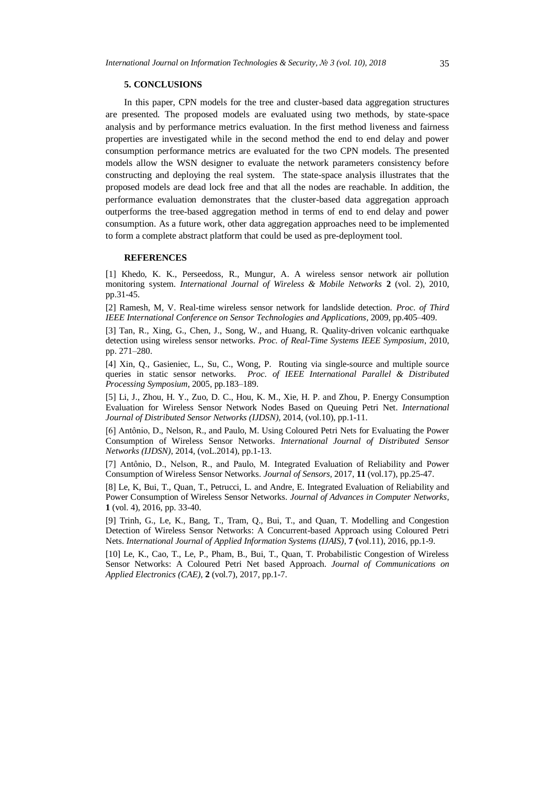#### **5. CONCLUSIONS**

In this paper, CPN models for the tree and cluster-based data aggregation structures are presented. The proposed models are evaluated using two methods, by state-space analysis and by performance metrics evaluation. In the first method liveness and fairness properties are investigated while in the second method the end to end delay and power consumption performance metrics are evaluated for the two CPN models. The presented models allow the WSN designer to evaluate the network parameters consistency before constructing and deploying the real system. The state-space analysis illustrates that the proposed models are dead lock free and that all the nodes are reachable. In addition, the performance evaluation demonstrates that the cluster-based data aggregation approach outperforms the tree-based aggregation method in terms of end to end delay and power consumption. As a future work, other data aggregation approaches need to be implemented to form a complete abstract platform that could be used as pre-deployment tool.

#### **REFERENCES**

[1] Khedo, K. K., Perseedoss, R., Mungur, A. A wireless sensor network air pollution monitoring system. *International Journal of Wireless & Mobile Networks* **2** (vol. 2), 2010, pp.31-45.

[2] Ramesh, M, V. Real-time wireless sensor network for landslide detection. *Proc. of Third IEEE International Conference on Sensor Technologies and Applications*, 2009, pp.405–409.

[3] Tan, R., Xing, G., Chen, J., Song, W., and Huang, R. Quality-driven volcanic earthquake detection using wireless sensor networks. *Proc. of Real-Time Systems IEEE Symposium*, 2010, pp. 271–280.

[4] Xin, Q., Gasieniec, L., Su, C., Wong, P. Routing via single-source and multiple source queries in static sensor networks. *Proc. of IEEE International Parallel & Distributed Processing Symposium*, 2005, pp.183–189.

[5] Li, J., Zhou, H. Y., Zuo, D. C., Hou, K. M., Xie, H. P. and Zhou, P. Energy Consumption Evaluation for Wireless Sensor Network Nodes Based on Queuing Petri Net*. International Journal of Distributed Sensor Networks (IJDSN),* 2014, (vol.10), pp.1-11.

[6] Antônio, D., Nelson, R., and Paulo, M. Using Coloured Petri Nets for Evaluating the Power Consumption of Wireless Sensor Networks. *International Journal of Distributed Sensor Networks (IJDSN)*, 2014, (voL.2014), pp.1-13.

[7] Antônio, D., Nelson, R., and Paulo, M. Integrated Evaluation of Reliability and Power Consumption of Wireless Sensor Networks. *Journal of Sensors,* 2017, **11** (vol.17), pp.25-47.

[8] Le, K, Bui, T., Quan, T., Petrucci, L. and Andre, E. Integrated Evaluation of Reliability and Power Consumption of Wireless Sensor Networks. *Journal of Advances in Computer Networks*, **1** (vol. 4), 2016, pp. 33-40.

[9] Trinh, G., Le, K., Bang, T., Tram, Q., Bui, T., and Quan, T. Modelling and Congestion Detection of Wireless Sensor Networks: A Concurrent-based Approach using Coloured Petri Nets. *International Journal of Applied Information Systems (IJAIS)*, **7 (**vol.11), 2016, pp.1-9.

[10] Le, K., Cao, T., Le, P., Pham, B., Bui, T., Quan, T. Probabilistic Congestion of Wireless Sensor Networks: A Coloured Petri Net based Approach. *Journal of Communications on Applied Electronics (CAE)*, **2** (vol.7), 2017, pp.1-7.